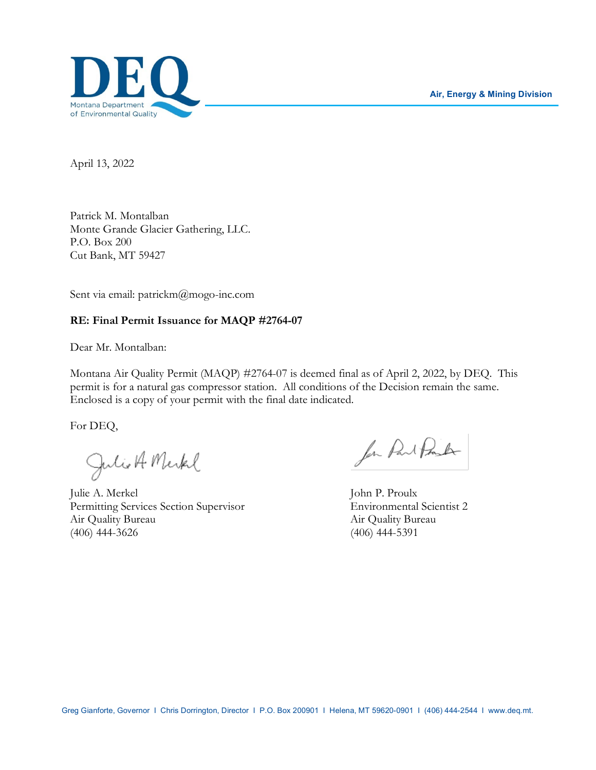

April 13, 2022

Patrick M. Montalban Monte Grande Glacier Gathering, LLC. P.O. Box 200 Cut Bank, MT 59427

Sent via email: patrickm@mogo-inc.com

#### **RE: Final Permit Issuance for MAQP #2764-07**

Dear Mr. Montalban:

Montana Air Quality Permit (MAQP) #2764-07 is deemed final as of April 2, 2022, by DEQ. This permit is for a natural gas compressor station. All conditions of the Decision remain the same. Enclosed is a copy of your permit with the final date indicated.

For DEQ,

Julio A Merkel

Julie A. Merkel John P. Proulx Permitting Services Section Supervisor Environmental Scientist 2 Air Quality Bureau Air Quality Bureau (406) 444-3626 (406) 444-5391

for Part Pork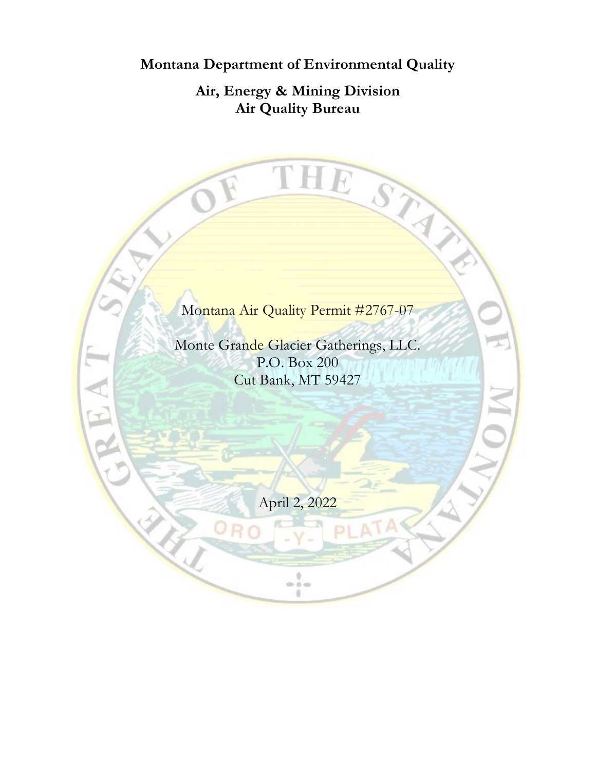**Montana Department of Environmental Quality**

**Air, Energy & Mining Division Air Quality Bureau**

THE STAY

Montana Air Quality Permit #2767-07

Monte Grande Glacier Gatherings, LLC. P.O. Box 200 Cut Bank, MT 59427

April 2, 2022

ÿ.  $0.04$ ä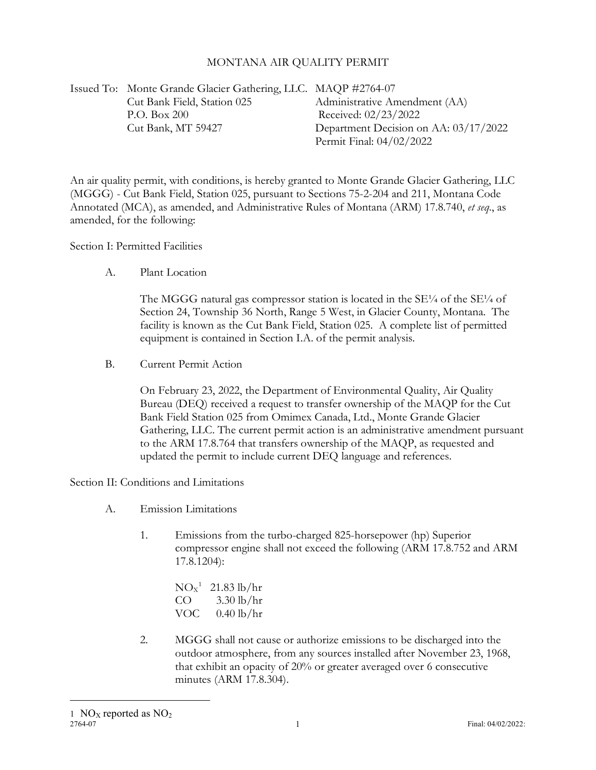#### MONTANA AIR QUALITY PERMIT

Issued To: Monte Grande Glacier Gathering, LLC. MAQP #2764-07 Cut Bank Field, Station 025 Administrative Amendment (AA) P.O. Box 200 Received: 02/23/2022 Cut Bank, MT 59427 Department Decision on AA: 03/17/2022 Permit Final: 04/02/2022

An air quality permit, with conditions, is hereby granted to Monte Grande Glacier Gathering, LLC (MGGG) - Cut Bank Field, Station 025, pursuant to Sections 75-2-204 and 211, Montana Code Annotated (MCA), as amended, and Administrative Rules of Montana (ARM) 17.8.740, *et seq*., as amended, for the following:

Section I: Permitted Facilities

A. Plant Location

The MGGG natural gas compressor station is located in the  $SE\frac{1}{4}$  of the  $SE\frac{1}{4}$  of Section 24, Township 36 North, Range 5 West, in Glacier County, Montana. The facility is known as the Cut Bank Field, Station 025. A complete list of permitted equipment is contained in Section I.A. of the permit analysis.

B. Current Permit Action

On February 23, 2022, the Department of Environmental Quality, Air Quality Bureau (DEQ) received a request to transfer ownership of the MAQP for the Cut Bank Field Station 025 from Omimex Canada, Ltd., Monte Grande Glacier Gathering, LLC. The current permit action is an administrative amendment pursuant to the ARM 17.8.764 that transfers ownership of the MAQP, as requested and updated the permit to include current DEQ language and references.

Section II: Conditions and Limitations

- A. Emission Limitations
	- 1. Emissions from the turbo-charged 825-horsepower (hp) Superior compressor engine shall not exceed the following (ARM 17.8.752 and ARM 17.8.1204):

 $NO<sub>x</sub><sup>1</sup>$  $NO<sub>x</sub><sup>1</sup>$  $NO<sub>x</sub><sup>1</sup>$  21.83 lb/hr  $CO = 3.30$  lb/hr VOC  $0.40 \text{ lb/hr}$ 

<span id="page-2-0"></span>2. MGGG shall not cause or authorize emissions to be discharged into the outdoor atmosphere, from any sources installed after November 23, 1968, that exhibit an opacity of 20% or greater averaged over 6 consecutive minutes (ARM 17.8.304).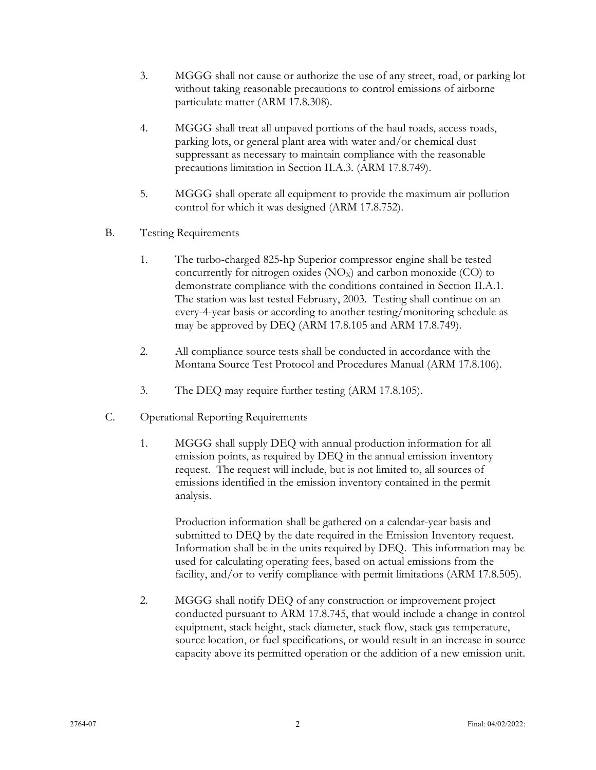- 3. MGGG shall not cause or authorize the use of any street, road, or parking lot without taking reasonable precautions to control emissions of airborne particulate matter (ARM 17.8.308).
- 4. MGGG shall treat all unpaved portions of the haul roads, access roads, parking lots, or general plant area with water and/or chemical dust suppressant as necessary to maintain compliance with the reasonable precautions limitation in Section II.A.3. (ARM 17.8.749).
- 5. MGGG shall operate all equipment to provide the maximum air pollution control for which it was designed (ARM 17.8.752).
- B. Testing Requirements
	- 1. The turbo-charged 825-hp Superior compressor engine shall be tested concurrently for nitrogen oxides  $(NO<sub>X</sub>)$  and carbon monoxide  $(CO)$  to demonstrate compliance with the conditions contained in Section II.A.1. The station was last tested February, 2003. Testing shall continue on an every-4-year basis or according to another testing/monitoring schedule as may be approved by DEQ (ARM 17.8.105 and ARM 17.8.749).
	- 2. All compliance source tests shall be conducted in accordance with the Montana Source Test Protocol and Procedures Manual (ARM 17.8.106).
	- 3. The DEQ may require further testing (ARM 17.8.105).
- C. Operational Reporting Requirements
	- 1. MGGG shall supply DEQ with annual production information for all emission points, as required by DEQ in the annual emission inventory request. The request will include, but is not limited to, all sources of emissions identified in the emission inventory contained in the permit analysis.

Production information shall be gathered on a calendar-year basis and submitted to DEQ by the date required in the Emission Inventory request. Information shall be in the units required by DEQ. This information may be used for calculating operating fees, based on actual emissions from the facility, and/or to verify compliance with permit limitations (ARM 17.8.505).

2. MGGG shall notify DEQ of any construction or improvement project conducted pursuant to ARM 17.8.745, that would include a change in control equipment, stack height, stack diameter, stack flow, stack gas temperature, source location, or fuel specifications, or would result in an increase in source capacity above its permitted operation or the addition of a new emission unit.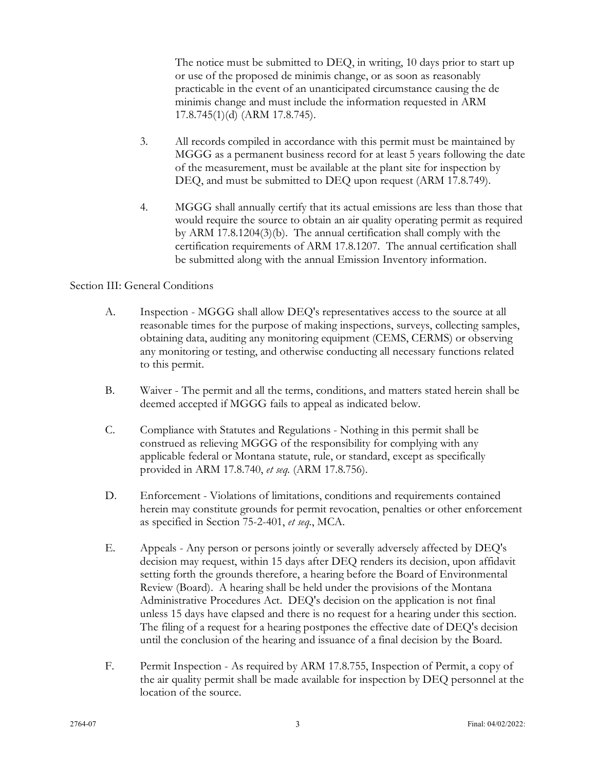The notice must be submitted to DEQ, in writing, 10 days prior to start up or use of the proposed de minimis change, or as soon as reasonably practicable in the event of an unanticipated circumstance causing the de minimis change and must include the information requested in ARM 17.8.745(1)(d) (ARM 17.8.745).

- 3. All records compiled in accordance with this permit must be maintained by MGGG as a permanent business record for at least 5 years following the date of the measurement, must be available at the plant site for inspection by DEQ, and must be submitted to DEQ upon request (ARM 17.8.749).
- 4. MGGG shall annually certify that its actual emissions are less than those that would require the source to obtain an air quality operating permit as required by ARM 17.8.1204(3)(b). The annual certification shall comply with the certification requirements of ARM 17.8.1207. The annual certification shall be submitted along with the annual Emission Inventory information.

## Section III: General Conditions

- A. Inspection MGGG shall allow DEQ's representatives access to the source at all reasonable times for the purpose of making inspections, surveys, collecting samples, obtaining data, auditing any monitoring equipment (CEMS, CERMS) or observing any monitoring or testing, and otherwise conducting all necessary functions related to this permit.
- B. Waiver The permit and all the terms, conditions, and matters stated herein shall be deemed accepted if MGGG fails to appeal as indicated below.
- C. Compliance with Statutes and Regulations Nothing in this permit shall be construed as relieving MGGG of the responsibility for complying with any applicable federal or Montana statute, rule, or standard, except as specifically provided in ARM 17.8.740, *et seq.* (ARM 17.8.756).
- D. Enforcement Violations of limitations, conditions and requirements contained herein may constitute grounds for permit revocation, penalties or other enforcement as specified in Section 75-2-401, *et seq.*, MCA.
- E. Appeals Any person or persons jointly or severally adversely affected by DEQ's decision may request, within 15 days after DEQ renders its decision, upon affidavit setting forth the grounds therefore, a hearing before the Board of Environmental Review (Board). A hearing shall be held under the provisions of the Montana Administrative Procedures Act. DEQ's decision on the application is not final unless 15 days have elapsed and there is no request for a hearing under this section. The filing of a request for a hearing postpones the effective date of DEQ's decision until the conclusion of the hearing and issuance of a final decision by the Board.
- F. Permit Inspection As required by ARM 17.8.755, Inspection of Permit, a copy of the air quality permit shall be made available for inspection by DEQ personnel at the location of the source.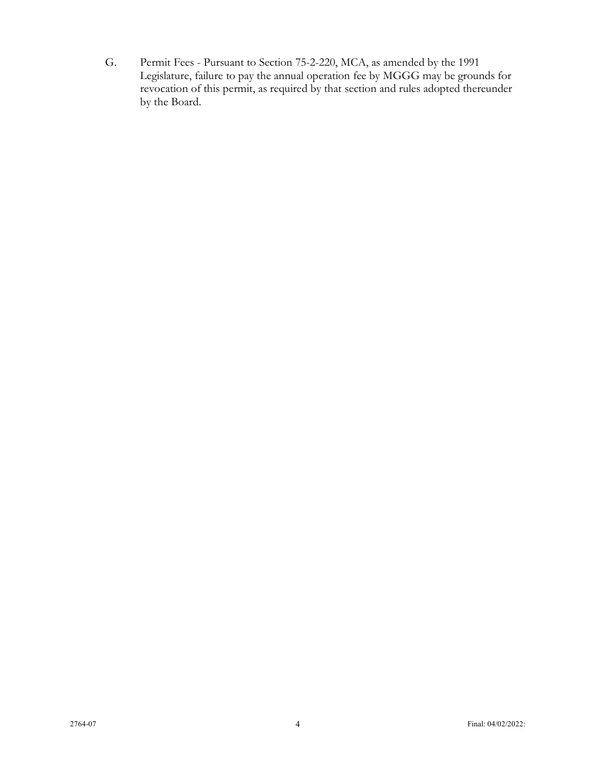G. Permit Fees - Pursuant to Section 75-2-220, MCA, as amended by the 1991 Legislature, failure to pay the annual operation fee by MGGG may be grounds for revocation of this permit, as required by that section and rules adopted thereunder by the Board.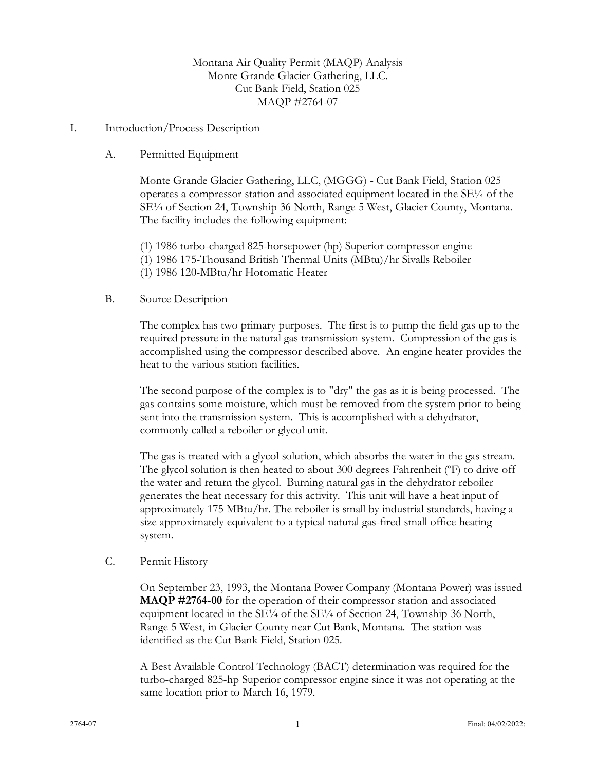## Montana Air Quality Permit (MAQP) Analysis Monte Grande Glacier Gathering, LLC. Cut Bank Field, Station 025 MAQP #2764-07

#### I. Introduction/Process Description

#### A. Permitted Equipment

Monte Grande Glacier Gathering, LLC, (MGGG) - Cut Bank Field, Station 025 operates a compressor station and associated equipment located in the SE¼ of the SE¼ of Section 24, Township 36 North, Range 5 West, Glacier County, Montana. The facility includes the following equipment:

(1) 1986 turbo-charged 825-horsepower (hp) Superior compressor engine

- (1) 1986 175-Thousand British Thermal Units (MBtu)/hr Sivalls Reboiler
- (1) 1986 120-MBtu/hr Hotomatic Heater

#### B. Source Description

The complex has two primary purposes. The first is to pump the field gas up to the required pressure in the natural gas transmission system. Compression of the gas is accomplished using the compressor described above. An engine heater provides the heat to the various station facilities.

The second purpose of the complex is to "dry" the gas as it is being processed. The gas contains some moisture, which must be removed from the system prior to being sent into the transmission system. This is accomplished with a dehydrator, commonly called a reboiler or glycol unit.

The gas is treated with a glycol solution, which absorbs the water in the gas stream. The glycol solution is then heated to about 300 degrees Fahrenheit (°F) to drive off the water and return the glycol. Burning natural gas in the dehydrator reboiler generates the heat necessary for this activity. This unit will have a heat input of approximately 175 MBtu/hr. The reboiler is small by industrial standards, having a size approximately equivalent to a typical natural gas-fired small office heating system.

## C. Permit History

On September 23, 1993, the Montana Power Company (Montana Power) was issued **MAQP #2764-00** for the operation of their compressor station and associated equipment located in the  $SE\frac{1}{4}$  of the  $SE\frac{1}{4}$  of Section 24, Township 36 North, Range 5 West, in Glacier County near Cut Bank, Montana. The station was identified as the Cut Bank Field, Station 025.

A Best Available Control Technology (BACT) determination was required for the turbo-charged 825-hp Superior compressor engine since it was not operating at the same location prior to March 16, 1979.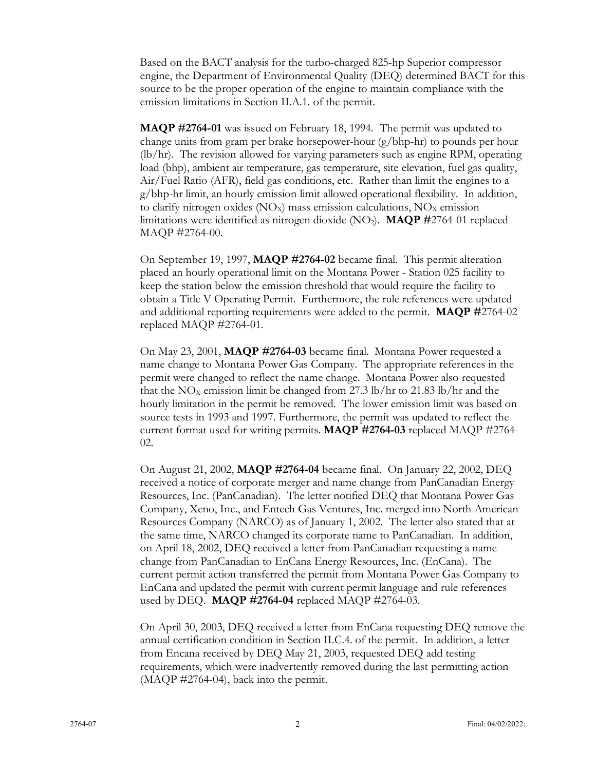Based on the BACT analysis for the turbo-charged 825-hp Superior compressor engine, the Department of Environmental Quality (DEQ) determined BACT for this source to be the proper operation of the engine to maintain compliance with the emission limitations in Section II.A.1. of the permit.

**MAQP #2764-01** was issued on February 18, 1994. The permit was updated to change units from gram per brake horsepower-hour (g/bhp-hr) to pounds per hour (lb/hr). The revision allowed for varying parameters such as engine RPM, operating load (bhp), ambient air temperature, gas temperature, site elevation, fuel gas quality, Air/Fuel Ratio (AFR), field gas conditions, etc. Rather than limit the engines to a g/bhp-hr limit, an hourly emission limit allowed operational flexibility. In addition, to clarify nitrogen oxides ( $NO_X$ ) mass emission calculations,  $NO_X$  emission limitations were identified as nitrogen dioxide (NO2). **MAQP #**2764-01 replaced MAQP #2764-00.

On September 19, 1997, **MAQP #2764-02** became final. This permit alteration placed an hourly operational limit on the Montana Power - Station 025 facility to keep the station below the emission threshold that would require the facility to obtain a Title V Operating Permit. Furthermore, the rule references were updated and additional reporting requirements were added to the permit. **MAQP #**2764-02 replaced MAQP #2764-01.

On May 23, 2001, **MAQP #2764-03** became final. Montana Power requested a name change to Montana Power Gas Company. The appropriate references in the permit were changed to reflect the name change. Montana Power also requested that the  $NO<sub>x</sub>$  emission limit be changed from 27.3 lb/hr to 21.83 lb/hr and the hourly limitation in the permit be removed. The lower emission limit was based on source tests in 1993 and 1997. Furthermore, the permit was updated to reflect the current format used for writing permits. **MAQP #2764-03** replaced MAQP #2764- 02.

On August 21, 2002, **MAQP #2764-04** became final. On January 22, 2002, DEQ received a notice of corporate merger and name change from PanCanadian Energy Resources, Inc. (PanCanadian). The letter notified DEQ that Montana Power Gas Company, Xeno, Inc., and Entech Gas Ventures, Inc. merged into North American Resources Company (NARCO) as of January 1, 2002. The letter also stated that at the same time, NARCO changed its corporate name to PanCanadian. In addition, on April 18, 2002, DEQ received a letter from PanCanadian requesting a name change from PanCanadian to EnCana Energy Resources, Inc. (EnCana). The current permit action transferred the permit from Montana Power Gas Company to EnCana and updated the permit with current permit language and rule references used by DEQ. **MAQP #2764-04** replaced MAQP #2764-03.

On April 30, 2003, DEQ received a letter from EnCana requesting DEQ remove the annual certification condition in Section II.C.4. of the permit. In addition, a letter from Encana received by DEQ May 21, 2003, requested DEQ add testing requirements, which were inadvertently removed during the last permitting action (MAQP #2764-04), back into the permit.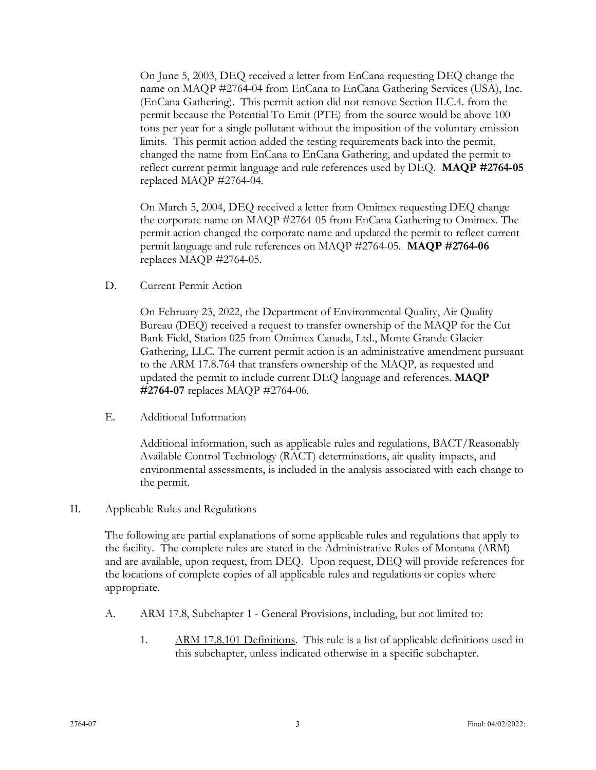On June 5, 2003, DEQ received a letter from EnCana requesting DEQ change the name on MAQP #2764-04 from EnCana to EnCana Gathering Services (USA), Inc. (EnCana Gathering). This permit action did not remove Section II.C.4. from the permit because the Potential To Emit (PTE) from the source would be above 100 tons per year for a single pollutant without the imposition of the voluntary emission limits. This permit action added the testing requirements back into the permit, changed the name from EnCana to EnCana Gathering, and updated the permit to reflect current permit language and rule references used by DEQ. **MAQP #2764-05** replaced MAQP #2764-04.

On March 5, 2004, DEQ received a letter from Omimex requesting DEQ change the corporate name on MAQP #2764-05 from EnCana Gathering to Omimex. The permit action changed the corporate name and updated the permit to reflect current permit language and rule references on MAQP #2764-05. **MAQP #2764-06** replaces MAQP #2764-05.

D. Current Permit Action

On February 23, 2022, the Department of Environmental Quality, Air Quality Bureau (DEQ) received a request to transfer ownership of the MAQP for the Cut Bank Field, Station 025 from Omimex Canada, Ltd., Monte Grande Glacier Gathering, LLC. The current permit action is an administrative amendment pursuant to the ARM 17.8.764 that transfers ownership of the MAQP, as requested and updated the permit to include current DEQ language and references. **MAQP #2764-07** replaces MAQP #2764-06.

E. Additional Information

Additional information, such as applicable rules and regulations, BACT/Reasonably Available Control Technology (RACT) determinations, air quality impacts, and environmental assessments, is included in the analysis associated with each change to the permit.

II. Applicable Rules and Regulations

The following are partial explanations of some applicable rules and regulations that apply to the facility. The complete rules are stated in the Administrative Rules of Montana (ARM) and are available, upon request, from DEQ. Upon request, DEQ will provide references for the locations of complete copies of all applicable rules and regulations or copies where appropriate.

- A. ARM 17.8, Subchapter 1 General Provisions, including, but not limited to:
	- 1. ARM 17.8.101 Definitions. This rule is a list of applicable definitions used in this subchapter, unless indicated otherwise in a specific subchapter.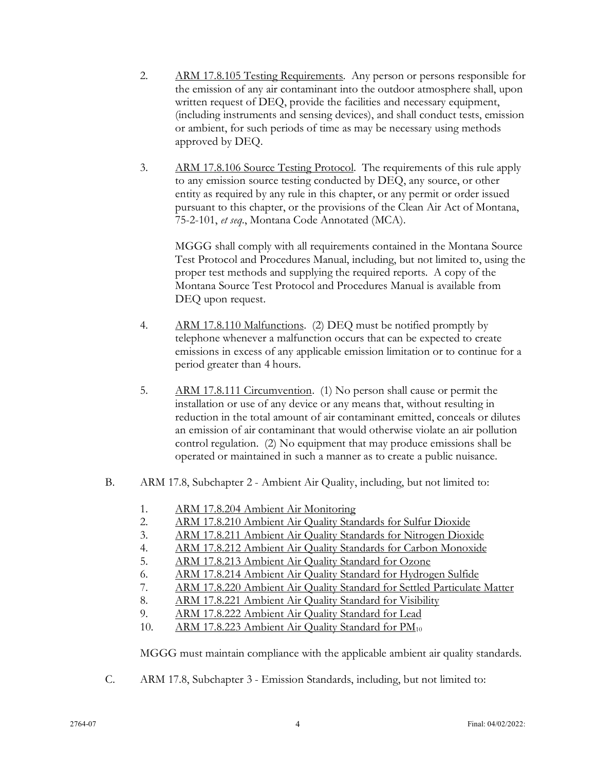- 2. ARM 17.8.105 Testing Requirements. Any person or persons responsible for the emission of any air contaminant into the outdoor atmosphere shall, upon written request of DEQ, provide the facilities and necessary equipment, (including instruments and sensing devices), and shall conduct tests, emission or ambient, for such periods of time as may be necessary using methods approved by DEQ.
- 3. ARM 17.8.106 Source Testing Protocol. The requirements of this rule apply to any emission source testing conducted by DEQ, any source, or other entity as required by any rule in this chapter, or any permit or order issued pursuant to this chapter, or the provisions of the Clean Air Act of Montana, 75-2-101, *et seq*., Montana Code Annotated (MCA).

MGGG shall comply with all requirements contained in the Montana Source Test Protocol and Procedures Manual, including, but not limited to, using the proper test methods and supplying the required reports. A copy of the Montana Source Test Protocol and Procedures Manual is available from DEQ upon request.

- 4. ARM 17.8.110 Malfunctions. (2) DEQ must be notified promptly by telephone whenever a malfunction occurs that can be expected to create emissions in excess of any applicable emission limitation or to continue for a period greater than 4 hours.
- 5. ARM 17.8.111 Circumvention. (1) No person shall cause or permit the installation or use of any device or any means that, without resulting in reduction in the total amount of air contaminant emitted, conceals or dilutes an emission of air contaminant that would otherwise violate an air pollution control regulation. (2) No equipment that may produce emissions shall be operated or maintained in such a manner as to create a public nuisance.
- B. ARM 17.8, Subchapter 2 Ambient Air Quality, including, but not limited to:
	- 1. ARM 17.8.204 Ambient Air Monitoring
	- 2. ARM 17.8.210 Ambient Air Quality Standards for Sulfur Dioxide
	- 3. ARM 17.8.211 Ambient Air Quality Standards for Nitrogen Dioxide
	- 4. ARM 17.8.212 Ambient Air Quality Standards for Carbon Monoxide
	- 5. ARM 17.8.213 Ambient Air Quality Standard for Ozone
	- 6. ARM 17.8.214 Ambient Air Quality Standard for Hydrogen Sulfide
	- 7. ARM 17.8.220 Ambient Air Quality Standard for Settled Particulate Matter
	- 8. ARM 17.8.221 Ambient Air Quality Standard for Visibility
	- 9. ARM 17.8.222 Ambient Air Quality Standard for Lead
	- 10. ARM 17.8.223 Ambient Air Quality Standard for PM<sub>10</sub>

MGGG must maintain compliance with the applicable ambient air quality standards.

C. ARM 17.8, Subchapter 3 - Emission Standards, including, but not limited to: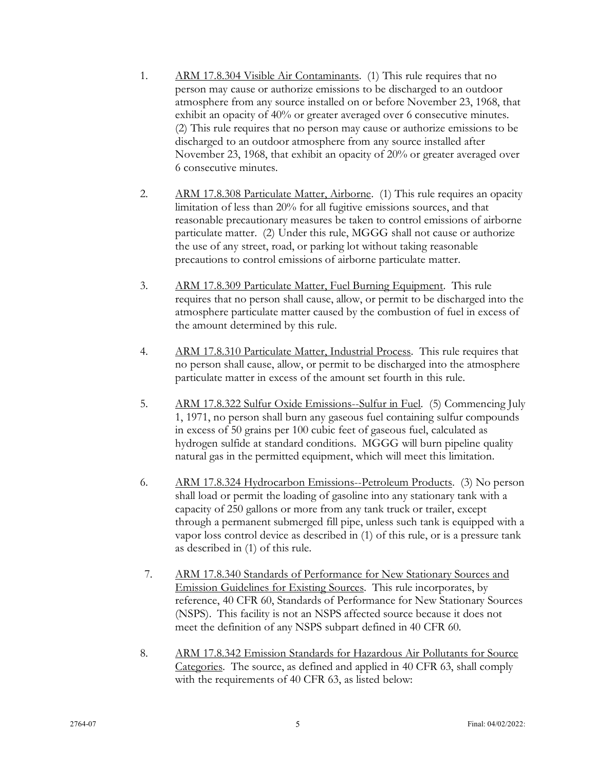- 1. ARM 17.8.304 Visible Air Contaminants. (1) This rule requires that no person may cause or authorize emissions to be discharged to an outdoor atmosphere from any source installed on or before November 23, 1968, that exhibit an opacity of 40% or greater averaged over 6 consecutive minutes. (2) This rule requires that no person may cause or authorize emissions to be discharged to an outdoor atmosphere from any source installed after November 23, 1968, that exhibit an opacity of 20% or greater averaged over 6 consecutive minutes.
- 2. ARM 17.8.308 Particulate Matter, Airborne. (1) This rule requires an opacity limitation of less than 20% for all fugitive emissions sources, and that reasonable precautionary measures be taken to control emissions of airborne particulate matter. (2) Under this rule, MGGG shall not cause or authorize the use of any street, road, or parking lot without taking reasonable precautions to control emissions of airborne particulate matter.
- 3. ARM 17.8.309 Particulate Matter, Fuel Burning Equipment. This rule requires that no person shall cause, allow, or permit to be discharged into the atmosphere particulate matter caused by the combustion of fuel in excess of the amount determined by this rule.
- 4. ARM 17.8.310 Particulate Matter, Industrial Process. This rule requires that no person shall cause, allow, or permit to be discharged into the atmosphere particulate matter in excess of the amount set fourth in this rule.
- 5. ARM 17.8.322 Sulfur Oxide Emissions--Sulfur in Fuel. (5) Commencing July 1, 1971, no person shall burn any gaseous fuel containing sulfur compounds in excess of 50 grains per 100 cubic feet of gaseous fuel, calculated as hydrogen sulfide at standard conditions. MGGG will burn pipeline quality natural gas in the permitted equipment, which will meet this limitation.
- 6. ARM 17.8.324 Hydrocarbon Emissions--Petroleum Products. (3) No person shall load or permit the loading of gasoline into any stationary tank with a capacity of 250 gallons or more from any tank truck or trailer, except through a permanent submerged fill pipe, unless such tank is equipped with a vapor loss control device as described in (1) of this rule, or is a pressure tank as described in (1) of this rule.
- 7. ARM 17.8.340 Standards of Performance for New Stationary Sources and Emission Guidelines for Existing Sources. This rule incorporates, by reference, 40 CFR 60, Standards of Performance for New Stationary Sources (NSPS). This facility is not an NSPS affected source because it does not meet the definition of any NSPS subpart defined in 40 CFR 60.
- 8. ARM 17.8.342 Emission Standards for Hazardous Air Pollutants for Source Categories. The source, as defined and applied in 40 CFR 63, shall comply with the requirements of 40 CFR 63, as listed below: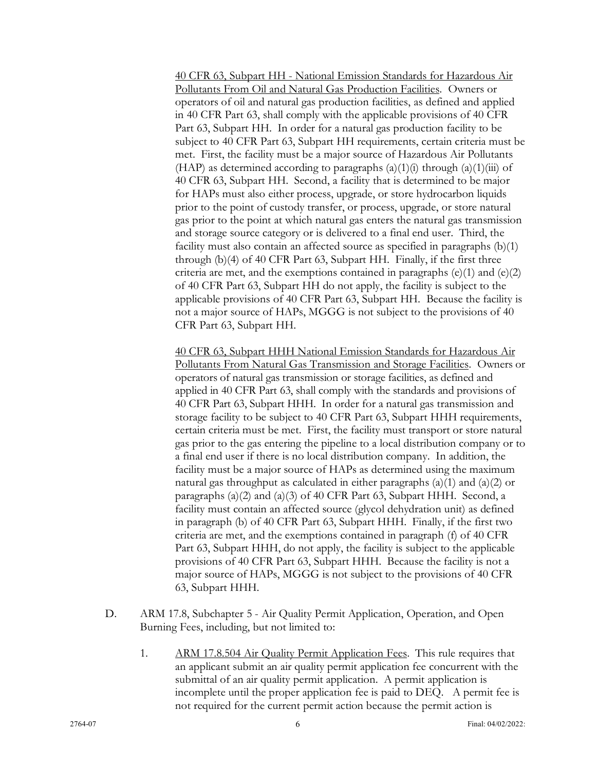40 CFR 63, Subpart HH - National Emission Standards for Hazardous Air Pollutants From Oil and Natural Gas Production Facilities. Owners or operators of oil and natural gas production facilities, as defined and applied in 40 CFR Part 63, shall comply with the applicable provisions of 40 CFR Part 63, Subpart HH. In order for a natural gas production facility to be subject to 40 CFR Part 63, Subpart HH requirements, certain criteria must be met. First, the facility must be a major source of Hazardous Air Pollutants (HAP) as determined according to paragraphs  $(a)(1)(i)$  through  $(a)(1)(iii)$  of 40 CFR 63, Subpart HH. Second, a facility that is determined to be major for HAPs must also either process, upgrade, or store hydrocarbon liquids prior to the point of custody transfer, or process, upgrade, or store natural gas prior to the point at which natural gas enters the natural gas transmission and storage source category or is delivered to a final end user. Third, the facility must also contain an affected source as specified in paragraphs (b)(1) through (b)(4) of 40 CFR Part 63, Subpart HH. Finally, if the first three criteria are met, and the exemptions contained in paragraphs  $(e)(1)$  and  $(e)(2)$ of 40 CFR Part 63, Subpart HH do not apply, the facility is subject to the applicable provisions of 40 CFR Part 63, Subpart HH. Because the facility is not a major source of HAPs, MGGG is not subject to the provisions of 40 CFR Part 63, Subpart HH.

40 CFR 63, Subpart HHH National Emission Standards for Hazardous Air Pollutants From Natural Gas Transmission and Storage Facilities. Owners or operators of natural gas transmission or storage facilities, as defined and applied in 40 CFR Part 63, shall comply with the standards and provisions of 40 CFR Part 63, Subpart HHH. In order for a natural gas transmission and storage facility to be subject to 40 CFR Part 63, Subpart HHH requirements, certain criteria must be met. First, the facility must transport or store natural gas prior to the gas entering the pipeline to a local distribution company or to a final end user if there is no local distribution company. In addition, the facility must be a major source of HAPs as determined using the maximum natural gas throughput as calculated in either paragraphs  $(a)(1)$  and  $(a)(2)$  or paragraphs (a)(2) and (a)(3) of 40 CFR Part 63, Subpart HHH. Second, a facility must contain an affected source (glycol dehydration unit) as defined in paragraph (b) of 40 CFR Part 63, Subpart HHH. Finally, if the first two criteria are met, and the exemptions contained in paragraph (f) of 40 CFR Part 63, Subpart HHH, do not apply, the facility is subject to the applicable provisions of 40 CFR Part 63, Subpart HHH. Because the facility is not a major source of HAPs, MGGG is not subject to the provisions of 40 CFR 63, Subpart HHH.

- D. ARM 17.8, Subchapter 5 Air Quality Permit Application, Operation, and Open Burning Fees, including, but not limited to:
	- 1. ARM 17.8.504 Air Quality Permit Application Fees. This rule requires that an applicant submit an air quality permit application fee concurrent with the submittal of an air quality permit application. A permit application is incomplete until the proper application fee is paid to DEQ. A permit fee is not required for the current permit action because the permit action is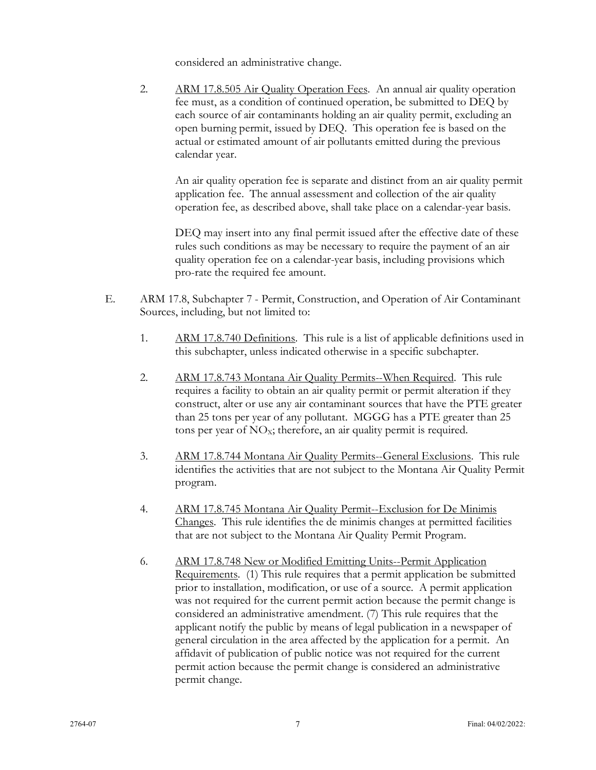considered an administrative change.

2. ARM 17.8.505 Air Quality Operation Fees. An annual air quality operation fee must, as a condition of continued operation, be submitted to DEQ by each source of air contaminants holding an air quality permit, excluding an open burning permit, issued by DEQ. This operation fee is based on the actual or estimated amount of air pollutants emitted during the previous calendar year.

An air quality operation fee is separate and distinct from an air quality permit application fee. The annual assessment and collection of the air quality operation fee, as described above, shall take place on a calendar-year basis.

DEQ may insert into any final permit issued after the effective date of these rules such conditions as may be necessary to require the payment of an air quality operation fee on a calendar-year basis, including provisions which pro-rate the required fee amount.

- E. ARM 17.8, Subchapter 7 Permit, Construction, and Operation of Air Contaminant Sources, including, but not limited to:
	- 1. ARM 17.8.740 Definitions. This rule is a list of applicable definitions used in this subchapter, unless indicated otherwise in a specific subchapter.
	- 2. ARM 17.8.743 Montana Air Quality Permits--When Required. This rule requires a facility to obtain an air quality permit or permit alteration if they construct, alter or use any air contaminant sources that have the PTE greater than 25 tons per year of any pollutant. MGGG has a PTE greater than 25 tons per year of  $NO<sub>x</sub>$ ; therefore, an air quality permit is required.
	- 3. ARM 17.8.744 Montana Air Quality Permits--General Exclusions. This rule identifies the activities that are not subject to the Montana Air Quality Permit program.
	- 4. ARM 17.8.745 Montana Air Quality Permit--Exclusion for De Minimis Changes. This rule identifies the de minimis changes at permitted facilities that are not subject to the Montana Air Quality Permit Program.
	- 6. ARM 17.8.748 New or Modified Emitting Units--Permit Application Requirements. (1) This rule requires that a permit application be submitted prior to installation, modification, or use of a source. A permit application was not required for the current permit action because the permit change is considered an administrative amendment. (7) This rule requires that the applicant notify the public by means of legal publication in a newspaper of general circulation in the area affected by the application for a permit. An affidavit of publication of public notice was not required for the current permit action because the permit change is considered an administrative permit change.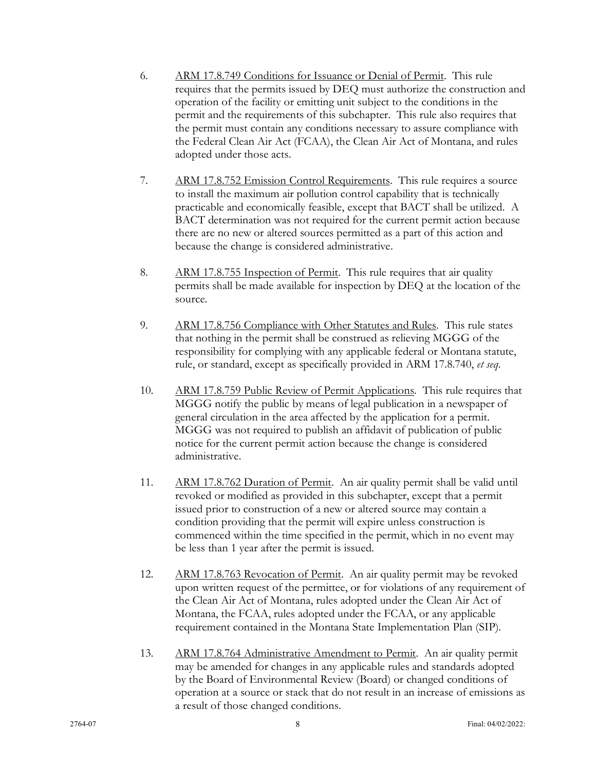- 6. ARM 17.8.749 Conditions for Issuance or Denial of Permit. This rule requires that the permits issued by DEQ must authorize the construction and operation of the facility or emitting unit subject to the conditions in the permit and the requirements of this subchapter. This rule also requires that the permit must contain any conditions necessary to assure compliance with the Federal Clean Air Act (FCAA), the Clean Air Act of Montana, and rules adopted under those acts.
- 7. ARM 17.8.752 Emission Control Requirements. This rule requires a source to install the maximum air pollution control capability that is technically practicable and economically feasible, except that BACT shall be utilized. A BACT determination was not required for the current permit action because there are no new or altered sources permitted as a part of this action and because the change is considered administrative.
- 8. ARM 17.8.755 Inspection of Permit. This rule requires that air quality permits shall be made available for inspection by DEQ at the location of the source.
- 9. ARM 17.8.756 Compliance with Other Statutes and Rules. This rule states that nothing in the permit shall be construed as relieving MGGG of the responsibility for complying with any applicable federal or Montana statute, rule, or standard, except as specifically provided in ARM 17.8.740, *et seq*.
- 10. ARM 17.8.759 Public Review of Permit Applications. This rule requires that MGGG notify the public by means of legal publication in a newspaper of general circulation in the area affected by the application for a permit. MGGG was not required to publish an affidavit of publication of public notice for the current permit action because the change is considered administrative.
- 11. ARM 17.8.762 Duration of Permit. An air quality permit shall be valid until revoked or modified as provided in this subchapter, except that a permit issued prior to construction of a new or altered source may contain a condition providing that the permit will expire unless construction is commenced within the time specified in the permit, which in no event may be less than 1 year after the permit is issued.
- 12. ARM 17.8.763 Revocation of Permit. An air quality permit may be revoked upon written request of the permittee, or for violations of any requirement of the Clean Air Act of Montana, rules adopted under the Clean Air Act of Montana, the FCAA, rules adopted under the FCAA, or any applicable requirement contained in the Montana State Implementation Plan (SIP).
- 13. ARM 17.8.764 Administrative Amendment to Permit. An air quality permit may be amended for changes in any applicable rules and standards adopted by the Board of Environmental Review (Board) or changed conditions of operation at a source or stack that do not result in an increase of emissions as a result of those changed conditions.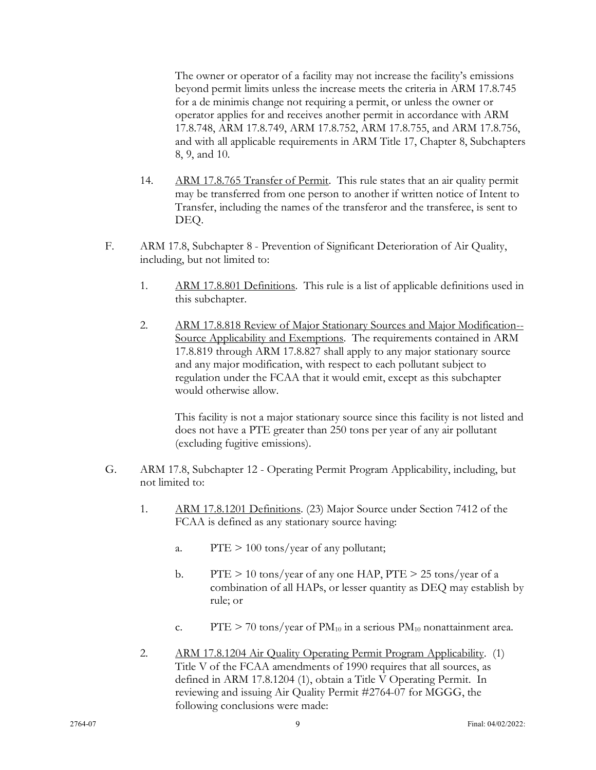The owner or operator of a facility may not increase the facility's emissions beyond permit limits unless the increase meets the criteria in ARM 17.8.745 for a de minimis change not requiring a permit, or unless the owner or operator applies for and receives another permit in accordance with ARM 17.8.748, ARM 17.8.749, ARM 17.8.752, ARM 17.8.755, and ARM 17.8.756, and with all applicable requirements in ARM Title 17, Chapter 8, Subchapters 8, 9, and 10.

- 14. ARM 17.8.765 Transfer of Permit. This rule states that an air quality permit may be transferred from one person to another if written notice of Intent to Transfer, including the names of the transferor and the transferee, is sent to DEQ.
- F. ARM 17.8, Subchapter 8 Prevention of Significant Deterioration of Air Quality, including, but not limited to:
	- 1. ARM 17.8.801 Definitions. This rule is a list of applicable definitions used in this subchapter.
	- 2. ARM 17.8.818 Review of Major Stationary Sources and Major Modification-- Source Applicability and Exemptions. The requirements contained in ARM 17.8.819 through ARM 17.8.827 shall apply to any major stationary source and any major modification, with respect to each pollutant subject to regulation under the FCAA that it would emit, except as this subchapter would otherwise allow.

This facility is not a major stationary source since this facility is not listed and does not have a PTE greater than 250 tons per year of any air pollutant (excluding fugitive emissions).

- G. ARM 17.8, Subchapter 12 Operating Permit Program Applicability, including, but not limited to:
	- 1. ARM 17.8.1201 Definitions. (23) Major Source under Section 7412 of the FCAA is defined as any stationary source having:
		- a.  $PTE > 100 \text{ tons/year}$  of any pollutant;
		- b. PTE  $> 10$  tons/year of any one HAP, PTE  $> 25$  tons/year of a combination of all HAPs, or lesser quantity as DEQ may establish by rule; or
		- c. PTE  $> 70$  tons/year of PM<sub>10</sub> in a serious PM<sub>10</sub> nonattainment area.
	- 2. ARM 17.8.1204 Air Quality Operating Permit Program Applicability. (1) Title V of the FCAA amendments of 1990 requires that all sources, as defined in ARM 17.8.1204 (1), obtain a Title V Operating Permit. In reviewing and issuing Air Quality Permit #2764-07 for MGGG, the following conclusions were made: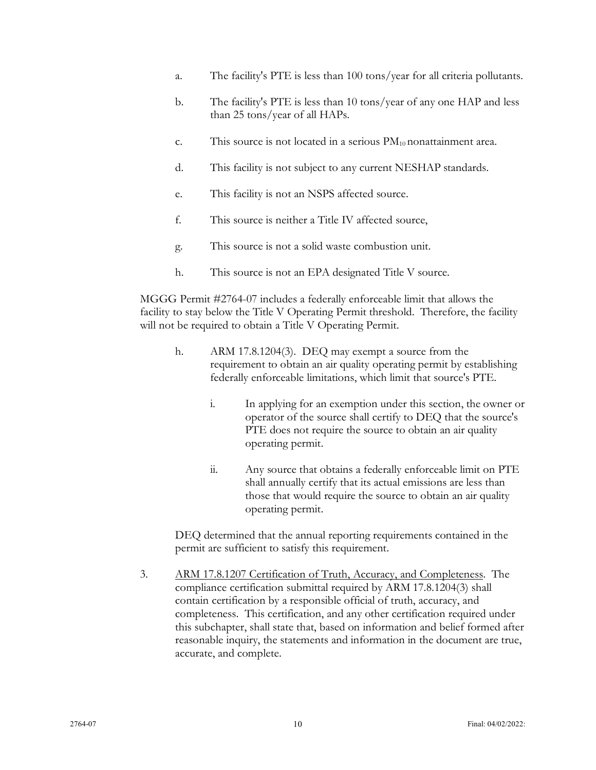- a. The facility's PTE is less than 100 tons/year for all criteria pollutants.
- b. The facility's PTE is less than 10 tons/year of any one HAP and less than 25 tons/year of all HAPs.
- c. This source is not located in a serious  $PM_{10}$  nonattainment area.
- d. This facility is not subject to any current NESHAP standards.
- e. This facility is not an NSPS affected source.
- f. This source is neither a Title IV affected source,
- g. This source is not a solid waste combustion unit.
- h. This source is not an EPA designated Title V source.

MGGG Permit #2764-07 includes a federally enforceable limit that allows the facility to stay below the Title V Operating Permit threshold. Therefore, the facility will not be required to obtain a Title V Operating Permit.

- h. ARM 17.8.1204(3). DEQ may exempt a source from the requirement to obtain an air quality operating permit by establishing federally enforceable limitations, which limit that source's PTE.
	- i. In applying for an exemption under this section, the owner or operator of the source shall certify to DEQ that the source's PTE does not require the source to obtain an air quality operating permit.
	- ii. Any source that obtains a federally enforceable limit on PTE shall annually certify that its actual emissions are less than those that would require the source to obtain an air quality operating permit.

DEQ determined that the annual reporting requirements contained in the permit are sufficient to satisfy this requirement.

3. ARM 17.8.1207 Certification of Truth, Accuracy, and Completeness. The compliance certification submittal required by ARM 17.8.1204(3) shall contain certification by a responsible official of truth, accuracy, and completeness. This certification, and any other certification required under this subchapter, shall state that, based on information and belief formed after reasonable inquiry, the statements and information in the document are true, accurate, and complete.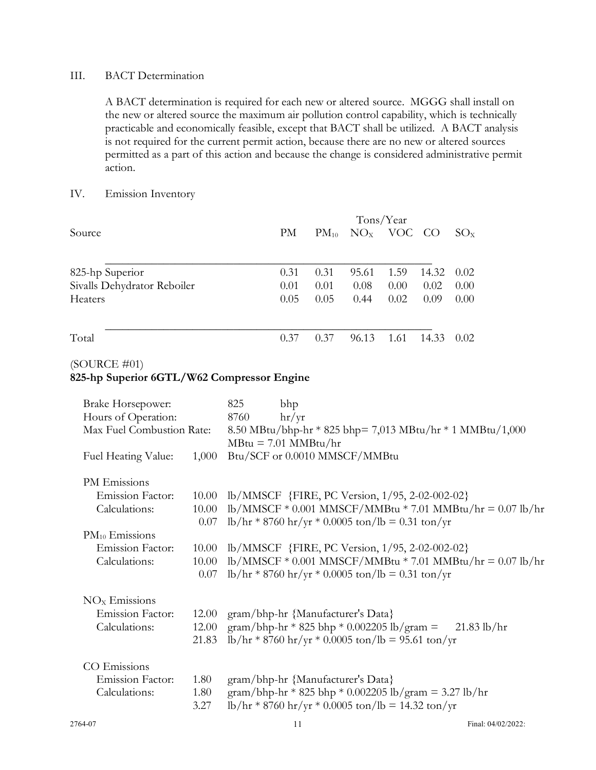#### III. BACT Determination

A BACT determination is required for each new or altered source. MGGG shall install on the new or altered source the maximum air pollution control capability, which is technically practicable and economically feasible, except that BACT shall be utilized. A BACT analysis is not required for the current permit action, because there are no new or altered sources permitted as a part of this action and because the change is considered administrative permit action.

#### IV. Emission Inventory

|                             | Tons/Year |           |       |              |       |                |
|-----------------------------|-----------|-----------|-------|--------------|-------|----------------|
| Source                      | PM        | $PM_{10}$ |       | $NOx$ VOC CO |       | $SO_{X}$       |
| 825-hp Superior             | 0.31      | 0.31      | 95.61 | 1.59         | 14.32 | 0.02           |
| Sivalls Dehydrator Reboiler | 0.01      | 0.01      | 0.08  | 0.00         | 0.02  | $0.00^{\circ}$ |
| Heaters                     | 0.05      | 0.05      | 0.44  | 0.02         | 0.09  | $0.00^{\circ}$ |
| Total                       | 0.37      | 0.37      | 96.13 | 1.61         | 14.33 | 0.02           |

<sup>(</sup>SOURCE #01)

**<sup>825-</sup>hp Superior 6GTL/W62 Compressor Engine**

| <b>Brake Horsepower:</b>  |       | 825<br>bhp                                                                                                               |
|---------------------------|-------|--------------------------------------------------------------------------------------------------------------------------|
| Hours of Operation:       |       | $\frac{hr}{yr}$<br>8760                                                                                                  |
| Max Fuel Combustion Rate: |       | 8.50 MBtu/bhp-hr * 825 bhp= 7,013 MBtu/hr * 1 MMBtu/1,000                                                                |
|                           |       | $MBtu = 7.01 \text{ MMBtu/hr}$                                                                                           |
| Fuel Heating Value:       | 1,000 | Btu/SCF or 0.0010 MMSCF/MMBtu                                                                                            |
| PM Emissions              |       |                                                                                                                          |
| <b>Emission Factor:</b>   | 10.00 | lb/MMSCF {FIRE, PC Version, 1/95, 2-02-002-02}                                                                           |
| Calculations:             | 10.00 | $lb/MMSCF * 0.001 MMSCF/MMBtu * 7.01 MMBtu/hr = 0.07 lb/hr$                                                              |
|                           | 0.07  | $\frac{\text{lb}}{\text{hr}} * 8760 \text{ hr}/\text{yr} * 0.0005 \text{ ton} / \text{lb} = 0.31 \text{ ton}/\text{yr}$  |
| $PM_{10}$ Emissions       |       |                                                                                                                          |
| <b>Emission Factor:</b>   | 10.00 | lb/MMSCF {FIRE, PC Version, 1/95, 2-02-002-02}                                                                           |
| Calculations:             | 10.00 | $lb/MMSCF * 0.001 MMSCF/MMBtu * 7.01 MMBtu/hr = 0.07 lb/hr$                                                              |
|                           | 0.07  | $\frac{\text{lb}}{\text{hr}} * 8760 \text{ hr}/\text{yr} * 0.0005 \text{ ton} / \text{lb} = 0.31 \text{ ton}/\text{yr}$  |
| $NOx$ Emissions           |       |                                                                                                                          |
| <b>Emission Factor:</b>   | 12.00 | gram/bhp-hr {Manufacturer's Data}                                                                                        |
| Calculations:             | 12.00 | gram/bhp-hr * 825 bhp * 0.002205 lb/gram =<br>$21.83$ lb/hr                                                              |
|                           | 21.83 | $\frac{\text{lb}}{\text{hr}} * 8760 \text{ hr}/\text{yr} * 0.0005 \text{ ton} / \text{lb} = 95.61 \text{ ton}/\text{yr}$ |
| CO Emissions              |       |                                                                                                                          |
| <b>Emission Factor:</b>   | 1.80  | gram/bhp-hr {Manufacturer's Data}                                                                                        |
| Calculations:             | 1.80  | gram/bhp-hr * 825 bhp * 0.002205 lb/gram = 3.27 lb/hr                                                                    |
|                           | 3.27  | $\frac{\text{lb}}{\text{hr}}$ * 8760 hr/yr * 0.0005 ton/lb = 14.32 ton/yr                                                |
|                           |       |                                                                                                                          |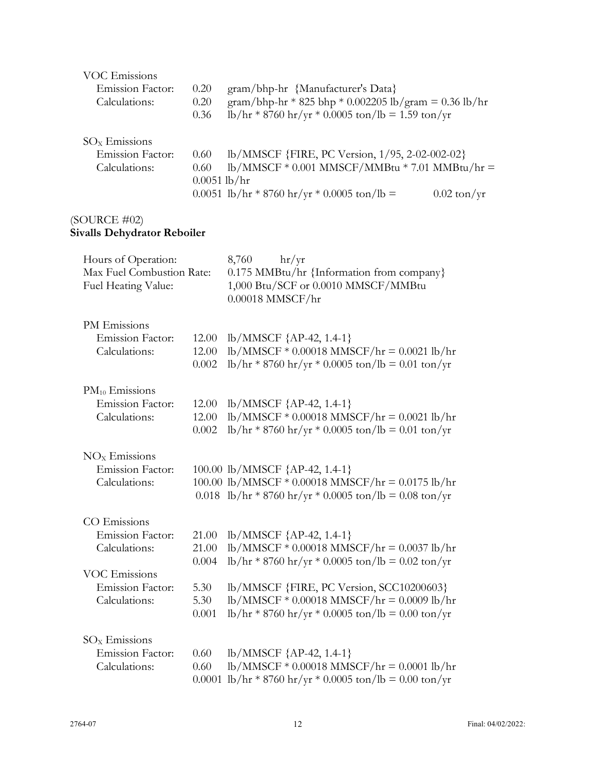| VOC Emissions<br><b>Emission Factor:</b><br>Calculations: | 0.20<br>0.20   | gram/bhp-hr {Manufacturer's Data}<br>gram/bhp-hr * 825 bhp * 0.002205 lb/gram = 0.36 lb/hr |                       |
|-----------------------------------------------------------|----------------|--------------------------------------------------------------------------------------------|-----------------------|
| $SOx$ Emissions                                           | 0.36           | $lb/hr * 8760 hr/yr * 0.0005 ton/lb = 1.59 ton/yr$                                         |                       |
| <b>Emission Factor:</b>                                   | 0.60           | lb/MMSCF {FIRE, PC Version, 1/95, 2-02-002-02}                                             |                       |
| Calculations:                                             | 0.60           | $lb/MMSCF * 0.001 MMSCF/MMBtu * 7.01 MMBtu/hr =$                                           |                       |
|                                                           | $0.0051$ lb/hr |                                                                                            |                       |
|                                                           |                | 0.0051 lb/hr * 8760 hr/yr * 0.0005 ton/lb =                                                | $0.02 \text{ ton/yr}$ |
|                                                           |                |                                                                                            |                       |

#### (SOURCE #02) **Sivalls Dehydrator Reboiler**

| Hours of Operation:<br>Max Fuel Combustion Rate:<br>Fuel Heating Value: |                | hr/yr<br>8,760<br>0.175 MMBtu/hr {Information from company}<br>1,000 Btu/SCF or 0.0010 MMSCF/MMBtu<br>$0.00018$ MMSCF/hr |
|-------------------------------------------------------------------------|----------------|--------------------------------------------------------------------------------------------------------------------------|
| PM Emissions<br><b>Emission Factor:</b><br>Calculations:                | 12.00<br>12.00 | $lb/MMSCF$ {AP-42, 1.4-1}<br>$lb/MMSCF * 0.00018 MMSCF/hr = 0.0021 lb/hr$                                                |
|                                                                         | 0.002          | $\frac{\text{lb}}{\text{hr}}$ * 8760 hr/yr * 0.0005 ton/lb = 0.01 ton/yr                                                 |
| $PM_{10}$ Emissions                                                     |                |                                                                                                                          |
| <b>Emission Factor:</b><br>Calculations:                                | 12.00<br>12.00 | $lb/MMSCF$ {AP-42, 1.4-1}<br>$lb/MMSCF * 0.00018 MMSCF/hr = 0.0021 lb/hr$                                                |
|                                                                         | 0.002          | $\frac{\text{lb}}{\text{hr}} * 8760 \text{ hr}/\text{yr} * 0.0005 \text{ ton} / \text{lb} = 0.01 \text{ ton}/\text{yr}$  |
| $NOx$ Emissions                                                         |                |                                                                                                                          |
| <b>Emission Factor:</b>                                                 |                | 100.00 lb/MMSCF {AP-42, 1.4-1}                                                                                           |
| Calculations:                                                           |                | 100.00 lb/MMSCF $*$ 0.00018 MMSCF/hr = 0.0175 lb/hr<br>0.018 lb/hr * 8760 hr/yr * 0.0005 ton/lb = 0.08 ton/yr            |
| CO Emissions                                                            |                |                                                                                                                          |
| <b>Emission Factor:</b>                                                 | 21.00          | $lb/MMSCF$ {AP-42, 1.4-1}                                                                                                |
| Calculations:                                                           | 21.00          | $lb/MMSCF * 0.00018 MMSCF/hr = 0.0037 lb/hr$                                                                             |
|                                                                         | 0.004          | $\frac{\text{lb}}{\text{hr}}$ * 8760 hr/yr * 0.0005 ton/lb = 0.02 ton/yr                                                 |
| <b>VOC Emissions</b>                                                    |                |                                                                                                                          |
| <b>Emission Factor:</b><br>Calculations:                                | 5.30<br>5.30   | lb/MMSCF {FIRE, PC Version, SCC10200603}<br>$lb/MMSCF * 0.00018 MMSCF/hr = 0.0009 lb/hr$                                 |
|                                                                         | 0.001          | $\frac{\text{lb}}{\text{hr}}$ * 8760 hr/yr * 0.0005 ton/lb = 0.00 ton/yr                                                 |
| $\rm SO_{X}$ Emissions                                                  |                |                                                                                                                          |
| Emission Factor:                                                        | 0.60           | $lb/MMSCF$ {AP-42, 1.4-1}                                                                                                |
| Calculations:                                                           | 0.60           | $lb/MMSCF * 0.00018 MMSCF/hr = 0.0001 lb/hr$                                                                             |
|                                                                         | 0.0001         | $\frac{\text{lb}}{\text{hr}}$ * 8760 hr/yr * 0.0005 ton/lb = 0.00 ton/yr                                                 |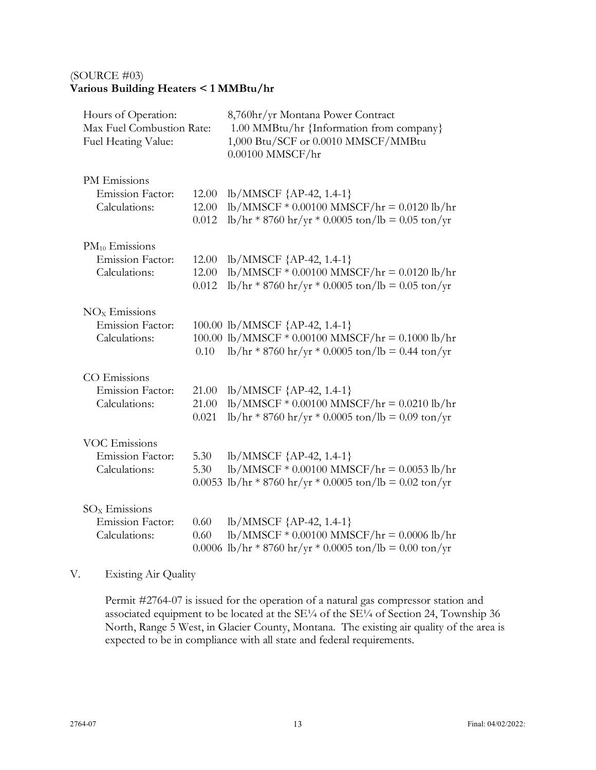# (SOURCE #03) **Various Building Heaters < 1 MMBtu/hr**

| Hours of Operation:<br>Max Fuel Combustion Rate:<br>Fuel Heating Value: |              | 8,760hr/yr Montana Power Contract<br>1.00 MMBtu/hr {Information from company}<br>1,000 Btu/SCF or 0.0010 MMSCF/MMBtu<br>$0.00100$ MMSCF/hr                                                                                          |  |  |
|-------------------------------------------------------------------------|--------------|-------------------------------------------------------------------------------------------------------------------------------------------------------------------------------------------------------------------------------------|--|--|
| PM Emissions                                                            | 12.00        | $lb/MMSCF$ {AP-42, 1.4-1}                                                                                                                                                                                                           |  |  |
| Emission Factor:                                                        | 12.00        | $lb/MMSCF * 0.00100 MMSCF/hr = 0.0120 lb/hr$                                                                                                                                                                                        |  |  |
| Calculations:                                                           | 0.012        | $\frac{\text{lb}}{\text{hr}} * 8760 \text{ hr}/\text{yr} * 0.0005 \text{ ton} / \text{lb} = 0.05 \text{ ton}/\text{yr}$                                                                                                             |  |  |
| $PM_{10}$ Emissions                                                     | 12.00        | lb/MMSCF {AP-42, 1.4-1}                                                                                                                                                                                                             |  |  |
| Emission Factor:                                                        | 12.00        | lb/MMSCF * 0.00100 MMSCF/hr = 0.0120 lb/hr                                                                                                                                                                                          |  |  |
| Calculations:                                                           | 0.012        | $\frac{\text{lb}}{\text{hr}} * 8760 \text{ hr}/\text{yr} * 0.0005 \text{ ton} / \text{lb} = 0.05 \text{ ton}/\text{yr}$                                                                                                             |  |  |
| $NOx$ Emissions<br>Emission Factor:<br>Calculations:                    | 0.10         | 100.00 lb/MMSCF {AP-42, 1.4-1}<br>100.00 lb/MMSCF $*$ 0.00100 MMSCF/hr = 0.1000 lb/hr<br>$\frac{\text{lb}}{\text{hr}} * 8760 \frac{\text{hr}}{\text{yr}} * 0.0005 \frac{\text{ton}}{\text{lb}} = 0.44 \frac{\text{ton}}{\text{yr}}$ |  |  |
| CO Emissions                                                            | 21.00        | lb/MMSCF {AP-42, 1.4-1}                                                                                                                                                                                                             |  |  |
| <b>Emission Factor:</b>                                                 | 21.00        | lb/MMSCF * 0.00100 MMSCF/hr = 0.0210 lb/hr                                                                                                                                                                                          |  |  |
| Calculations:                                                           | 0.021        | $\frac{\text{lb}}{\text{hr}} * 8760 \text{ hr}/\text{yr} * 0.0005 \text{ ton} / \text{lb} = 0.09 \text{ ton}/\text{yr}$                                                                                                             |  |  |
| <b>VOC Emissions</b>                                                    | 5.30         | $lb/MMSCF$ {AP-42, 1.4-1}                                                                                                                                                                                                           |  |  |
| <b>Emission Factor:</b>                                                 | 5.30         | $lb/MMSCF * 0.00100 MMSCF/hr = 0.0053 lb/hr$                                                                                                                                                                                        |  |  |
| Calculations:                                                           | 0.0053       | $\frac{\text{lb}}{\text{hr}} * 8760 \text{ hr}/\text{yr} * 0.0005 \text{ ton} / \text{lb} = 0.02 \text{ ton}/\text{yr}$                                                                                                             |  |  |
| $SOx$ Emissions<br><b>Emission Factor:</b><br>Calculations:             | 0.60<br>0.60 | $lb/MMSCF$ {AP-42, 1.4-1}<br>lb/MMSCF * 0.00100 MMSCF/hr = 0.0006 lb/hr<br>0.0006 lb/hr * 8760 hr/yr * 0.0005 ton/lb = 0.00 ton/yr                                                                                                  |  |  |

# V. Existing Air Quality

Permit #2764-07 is issued for the operation of a natural gas compressor station and associated equipment to be located at the SE¼ of the SE¼ of Section 24, Township 36 North, Range 5 West, in Glacier County, Montana. The existing air quality of the area is expected to be in compliance with all state and federal requirements.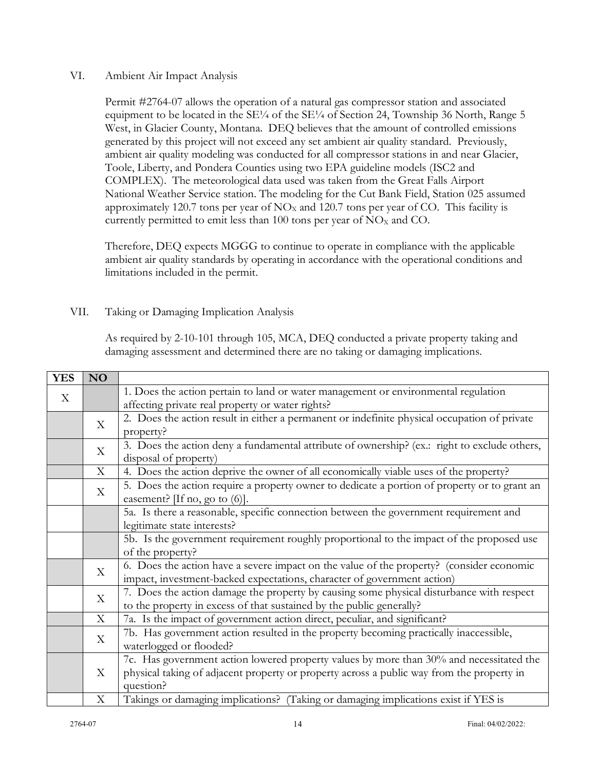## VI. Ambient Air Impact Analysis

Permit #2764-07 allows the operation of a natural gas compressor station and associated equipment to be located in the  $SE\frac{1}{4}$  of the  $SE\frac{1}{4}$  of Section 24, Township 36 North, Range 5 West, in Glacier County, Montana. DEQ believes that the amount of controlled emissions generated by this project will not exceed any set ambient air quality standard. Previously, ambient air quality modeling was conducted for all compressor stations in and near Glacier, Toole, Liberty, and Pondera Counties using two EPA guideline models (ISC2 and COMPLEX). The meteorological data used was taken from the Great Falls Airport National Weather Service station. The modeling for the Cut Bank Field, Station 025 assumed approximately 120.7 tons per year of  $NO<sub>x</sub>$  and 120.7 tons per year of CO. This facility is currently permitted to emit less than 100 tons per year of  $NO<sub>x</sub>$  and CO.

Therefore, DEQ expects MGGG to continue to operate in compliance with the applicable ambient air quality standards by operating in accordance with the operational conditions and limitations included in the permit.

# VII. Taking or Damaging Implication Analysis

As required by 2-10-101 through 105, MCA, DEQ conducted a private property taking and damaging assessment and determined there are no taking or damaging implications.

| <b>YES</b>                | NO                |                                                                                              |
|---------------------------|-------------------|----------------------------------------------------------------------------------------------|
| $\boldsymbol{\mathrm{X}}$ |                   | 1. Does the action pertain to land or water management or environmental regulation           |
|                           |                   | affecting private real property or water rights?                                             |
|                           | X                 | 2. Does the action result in either a permanent or indefinite physical occupation of private |
|                           |                   | property?                                                                                    |
|                           | X                 | 3. Does the action deny a fundamental attribute of ownership? (ex.: right to exclude others, |
|                           |                   | disposal of property)                                                                        |
|                           | X                 | 4. Does the action deprive the owner of all economically viable uses of the property?        |
|                           | X                 | 5. Does the action require a property owner to dedicate a portion of property or to grant an |
|                           |                   | easement? [If no, go to $(6)$ ].                                                             |
|                           |                   | 5a. Is there a reasonable, specific connection between the government requirement and        |
|                           |                   | legitimate state interests?                                                                  |
|                           |                   | 5b. Is the government requirement roughly proportional to the impact of the proposed use     |
|                           |                   | of the property?                                                                             |
|                           | X                 | 6. Does the action have a severe impact on the value of the property? (consider economic     |
|                           |                   | impact, investment-backed expectations, character of government action)                      |
|                           | X                 | 7. Does the action damage the property by causing some physical disturbance with respect     |
|                           |                   | to the property in excess of that sustained by the public generally?                         |
|                           | X                 | 7a. Is the impact of government action direct, peculiar, and significant?                    |
|                           | X                 | 7b. Has government action resulted in the property becoming practically inaccessible,        |
|                           |                   | waterlogged or flooded?                                                                      |
|                           | $X_{\mathcal{E}}$ | 7c. Has government action lowered property values by more than 30% and necessitated the      |
|                           |                   | physical taking of adjacent property or property across a public way from the property in    |
|                           |                   | question?                                                                                    |
|                           | X                 | Takings or damaging implications? (Taking or damaging implications exist if YES is           |